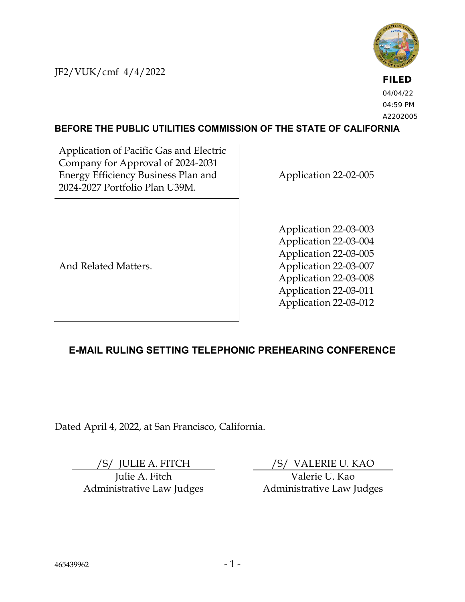JF2/VUK/cmf 4/4/2022



**FILED** 04/04/22 04:59 PM A2202005

### **BEFORE THE PUBLIC UTILITIES COMMISSION OF THE STATE OF CALIFORNIA**

Application of Pacific Gas and Electric Company for Approval of 2024-2031 Energy Efficiency Business Plan and 2024-2027 Portfolio Plan U39M.

Application 22-02-005

Application 22-03-003 Application 22-03-004 Application 22-03-005 Application 22-03-007 Application 22-03-008 Application 22-03-011 Application 22-03-012

And Related Matters.

# **E-MAIL RULING SETTING TELEPHONIC PREHEARING CONFERENCE**

Dated April 4, 2022, at San Francisco, California.

Julie A. Fitch Administrative Law Judges

/S/ JULIE A. FITCH /S/ VALERIE U. KAO

Valerie U. Kao Administrative Law Judges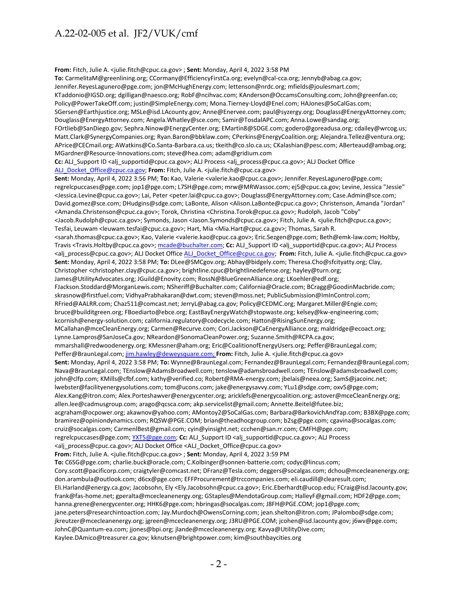**From:** Fitch, Julie A. <julie.fitch@cpuc.ca.gov> ; **Sent:** Monday, April 4, 2022 3:58 PM **To:** CarmelitaM@greenlining.org; CCormany@EfficiencyFirstCa.org; evelyn@cal-cca.org; Jennyb@abag.ca.gov; Jennifer.ReyesLagunero@pge.com; jon@McHughEnergy.com; lettenson@nrdc.org; mfields@joulesmart.com; KTaddonio@IGSD.org; dgilligan@naesco.org; RobF@ncihvac.com; KAnderson@OccamsConsulting.com; John@greenfan.co; Policy@PowerTakeOff.com; justin@SimpleEnergy.com; Mona.Tierney-Lloyd@Enel.com; HAJones@SoCalGas.com; SGersen@Earthjustice.org; MSLe@isd.LAcounty.gov; Anne@Enervee.com; paul@syzergy.org; Douglass@EnergyAttorney.com; Douglass@EnergyAttorney.com; Angela.Whatley@sce.com; Samir@TosdalAPC.com; Anna.Lowe@sandag.org; FOrtlieb@SanDiego.gov; Sephra.Ninow@EnergyCenter.org; EMartin8@SDGE.com; godero@goreadusa.org; cdailey@wrcog.us; Matt.Clark@SynergyCompanies.org; Ryan.Baron@bbklaw.com; CPerkins@EnergyCoalition.org; Alejandra.Tellez@ventura.org; APrice@CECmail.org; AWatkins@Co.Santa-Barbara.ca.us; tkeith@co.slo.ca.us; CKalashian@pesc.com; ABerteaud@ambag.org; MGardner@Resource-Innovations.com; steve@hea.com; adam@gridium.com Cc: ALJ\_Support ID <alj\_supportid@cpuc.ca.gov>; ALJ Process <alj\_process@cpuc.ca.gov>; ALJ Docket Office [ALJ\\_Docket\\_Office@cpuc.ca.gov;](mailto:ALJ_Docket_Office@cpuc.ca.gov) From: Fitch, Julie A. <iulie.fitch@cpuc.ca.gov> **Sent:** Monday, April 4, 2022 3:56 PM; **To:** Kao, Valerie <valerie.kao@cpuc.ca.gov>; Jennifer.ReyesLagunero@pge.com; regrelcpuccases@pge.com; jop1@pge.com; L7SH@pge.com; mrw@MRWassoc.com; ej5@cpuc.ca.gov; Levine, Jessica "Jessie" <Jessica.Levine@cpuc.ca.gov>; Lai, Peter <peter.lai@cpuc.ca.gov>; Douglass@EnergyAttorney.com; Case.Admin@sce.com; David.gomez@sce.com; DHudgins@sdge.com; LaBonte, Alison <Alison.LaBonte@cpuc.ca.gov>; Christenson, Amanda "Jordan" <Amanda.Christenson@cpuc.ca.gov>; Torok, Christina <Christina.Torok@cpuc.ca.gov>; Rudolph, Jacob "Coby" <Jacob.Rudolph@cpuc.ca.gov>; Symonds, Jason <Jason.Symonds@cpuc.ca.gov>; Fitch, Julie A. <julie.fitch@cpuc.ca.gov>; Tesfai, Leuwam <leuwam.tesfai@cpuc.ca.gov>; Hart, Mia <Mia.Hart@cpuc.ca.gov>; Thomas, Sarah R. <sarah.thomas@cpuc.ca.gov>; Kao, Valerie <valerie.kao@cpuc.ca.gov>; Eric.Sezgen@pge.com; Beth@emk-law.com; Holtby, Travis <Travis.Holtby@cpuc.ca.gov>[; mcade@buchalter.com;](mailto:mcade@buchalter.com) **Cc:** ALJ\_Support ID <alj\_supportid@cpuc.ca.gov>; ALJ Process <alj\_process@cpuc.ca.gov>; ALJ Docket Offic[e ALJ\\_Docket\\_Office@cpuc.ca.gov;](mailto:ALJ_Docket_Office@cpuc.ca.gov) **From:** Fitch, Julie A. <julie.fitch@cpuc.ca.gov> **Sent:** Monday, April 4, 2022 3:58 PM; **To:** DLee@SMCgov.org; Abhay@bidgely.com; Theresa.Cho@sfcityatty.org; Clay, Christopher <christopher.clay@cpuc.ca.gov>; brightline.cpuc@brightlinedefense.org; hayley@turn.org; James@UtilityAdvocates.org; JGuild@Enovity.com; RossN@BlueGreenAlliance.org; LKoehler@edf.org; FJackson.Stoddard@MorganLewis.com; NSheriff@Buchalter.com; California@Oracle.com; BCragg@GoodinMacbride.com; skrasnow@firstfuel.com; VidhyaPrabhakaran@dwt.com; steven@moss.net; PublicSubmission@ImInControl.com; RFried@AALRR.com; Chaz511@comcast.net; JerryL@abag.ca.gov; Policy@CEDMC.org; Margaret.Miller@Engie.com; bruce@builditgreen.org; FBoediarto@ebce.org; EastBayEnergyWatch@stopwaste.org; kelsey@kw-engineering.com; kcornish@energy-solution.com; california.regulatory@codecycle.com; Hatton@RisingSunEnergy.org; MCallahan@mceCleanEnergy.org; Carmen@Recurve.com; Cori.Jackson@CaEnergyAlliance.org; maldridge@ecoact.org; Lynne.Lampros@SanJoseCa.gov; NReardon@SonomaCleanPower.org; Suzanne.Smith@RCPA.ca.gov; mmarshall@redwoodenergy.org; KMessner@aham.org; Eric@CoalitionofEnergyUsers.org; Peffer@BraunLegal.com; Peffer@BraunLegal.com[; jim.hawley@deweysquare.com;](mailto:jim.hawley@deweysquare.com) **From:** Fitch, Julie A. <julie.fitch@cpuc.ca.gov> **Sent:** Monday, April 4, 2022 3:58 PM; **To:** Wynne@BraunLegal.com; Fernandez@BraunLegal.com; Fernandez@BraunLegal.com; Nava@BraunLegal.com; TEnslow@AdamsBroadwell.com; tenslow@adamsbroadwell.com; TEnslow@adamsbroadwell.com; john@clfp.com; KMills@cfbf.com; kathy@verified.co; Robert@RMA-energy.com; jbelais@neea.org; SamS@jacoinc.net; lwebster@facilityenergysolutions.com; tom@ucons.com; jake@energysavvy.com; YLu1@sdge.com; oxv5@pge.com; Alex.Kang@itron.com; Alex.Porteshawver@energycenter.org; aricklefs@energycoalition.org; astover@mceCleanEnergy.org; allen.lee@cadmusgroup.com; arago@qcsca.com; akp.servicelist@gmail.com; Annette.Beitel@futee.biz; acgraham@ocpower.org; akawnov@yahoo.com; AMontoy2@SoCalGas.com; Barbara@BarkovichAndYap.com; B3BX@pge.com; bramirez@opiniondynamics.com; RQSW@PGE.COM; brian@theadhocgroup.com; b2sg@pge.com; cgavina@socalgas.com; cruiz@socalgas.com; CarmenlBest@gmail.com; cyin@yinsight.net; ccchen@san.rr.com; CMFH@pge.com; regrelcpuccases@pge.com[; YXT5@pge.com;](mailto:YXT5@pge.com) **Cc:** ALJ\_Support ID <alj\_supportid@cpuc.ca.gov>; ALJ Process <alj\_process@cpuc.ca.gov>; ALJ Docket Office <ALJ\_Docket\_Office@cpuc.ca.gov> **From:** Fitch, Julie A. <julie.fitch@cpuc.ca.gov> ; **Sent:** Monday, April 4, 2022 3:59 PM **To:** C6SG@pge.com; charlie.buck@oracle.com; C.Kolbinger@sonnen-batterie.com; codyc@lincus.com; Cory.scott@pacificorp.com; craigtyler@comcast.net; DFranz@Tesla.com; deggers@socalgas.com; dchou@mcecleanenergy.org; don.arambula@outlook.com; d6cx@pge.com; EFFProcurement@trccompanies.com; eli.caudill@clearesult.com; Eli.Harland@energy.ca.gov; Jacobsohn, Ely <Ely.Jacobsohn@cpuc.ca.gov>; Eric.Eberhardt@ucop.edu; FCraig@isd.lacounty.gov; frank@fas-home.net; gperalta@mcecleanenergy.org; GStaples@MendotaGroup.com; HalleyF@gmail.com; HDF2@pge.com; hanna.grene@energycenter.org; HHK6@pge.com; hbringas@socalgas.com; J8FH@PGE.COM; jop1@pge.com; jane.peters@researchintoaction.com; Jay.Murdoch@OwensCorning.com; jean.shelton@itron.com; JPalombo@sdge.com; jkreutzer@mcecleanenergy.org; jgreen@mcecleanenergy.org; J3RU@PGE.COM; jcohen@isd.lacounty.gov; j6wv@pge.com; JohnC@Quantum-ea.com; jjones@bpi.org; jlande@mcecleanenergy.org; Kavya@UtilityDive.com; Kaylee.DAmico@treasurer.ca.gov; kknutsen@brightpower.com; kim@southbaycities.org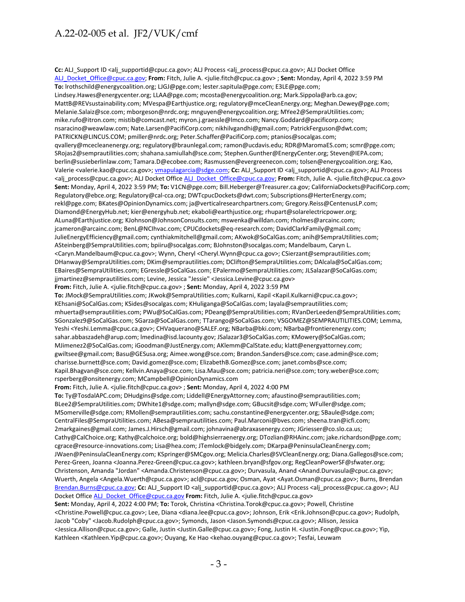Cc: ALJ\_Support ID <alj\_supportid@cpuc.ca.gov>; ALJ Process <alj\_process@cpuc.ca.gov>; ALJ Docket Office [ALJ\\_Docket\\_Office@cpuc.ca.gov;](mailto:ALJ_Docket_Office@cpuc.ca.gov) **From:** Fitch, Julie A. <julie.fitch@cpuc.ca.gov> ; **Sent:** Monday, April 4, 2022 3:59 PM **To:** lrothschild@energycoalition.org; LJGJ@pge.com; lester.sapitula@pge.com; E3LE@pge.com; Lindsey.Hawes@energycenter.org; LLAA@pge.com; mcosta@energycoalition.org; Mark.Sippola@arb.ca.gov; MattB@REVsustainability.com; MVespa@Earthjustice.org; regulatory@mceCleanEnergy.org; Meghan.Dewey@pge.com; Melanie.Salaiz@sce.com; mborgeson@nrdc.org; mnguyen@energycoalition.org; MYee2@SempraUtilities.com; mike.rufo@itron.com; mistib@comcast.net; myron.j.graessle@lmco.com; Nancy.Goddard@pacificorp.com; nsaracino@weawlaw.com; Nate.Larsen@PacifiCorp.com; nikhilvgandhi@gmail.com; PatrickFerguson@dwt.com; PATRICKN@LINCUS.COM; pmiller@nrdc.org; Peter.Schaffer@PacifiCorp.com; ptanios@socalgas.com; qvallery@mcecleanenergy.org; regulatory@braunlegal.com; ramon@ucdavis.edu; RDR@MaromaES.com; scmr@pge.com; SRojas2@semprautilities.com; shahana.samiullah@sce.com; Stephen.Gunther@EnergyCenter.org; Steven@IEPA.com; berlin@susieberlinlaw.com; Tamara.D@ecobee.com; Rasmussen@evergreenecon.com; tolsen@energycoalition.org; Kao, Valerie <valerie.kao@cpuc.ca.gov>; [vmapulagarcia@sdge.com;](mailto:vmapulagarcia@sdge.com) **Cc:** ALJ\_Support ID <alj\_supportid@cpuc.ca.gov>; ALJ Process <alj\_process@cpuc.ca.gov>; ALJ Docket Offic[e ALJ\\_Docket\\_Office@cpuc.ca.gov;](mailto:ALJ_Docket_Office@cpuc.ca.gov) **From:** Fitch, Julie A. <julie.fitch@cpuc.ca.gov> **Sent:** Monday, April 4, 2022 3:59 PM; **To:** V1CN@pge.com; Bill.Heberger@Treasurer.ca.gov; CaliforniaDockets@PacifiCorp.com; Regulatory@ebce.org; Regulatory@cal-cca.org; DWTcpucDockets@dwt.com; Subscriptions@HerterEnergy.com; rekl@pge.com; BKates@OpinionDynamics.com; ja@verticalresearchpartners.com; Gregory.Reiss@CentenusLP.com; Diamond@EnergyHub.net; kier@energyhub.net; ekaboli@earthjustice.org; rhupart@solarelectricpower.org; ALuna@Earthjustice.org; KJohnson@JohnsonConsults.com; mswenka@willdan.com; rholmes@arcainc.com; jcameron@arcainc.com; BenL@NCIhvac.com; CPUCdockets@eq-research.com; DavidClarkFamily@gmail.com; JulieEnergyEfficiency@gmail.com; cynthiakmitchell@gmail.com; AKwok@SoCalGas.com; anih@SempraUtilities.com; ASteinberg@SempraUtilities.com; bpiiru@socalgas.com; BJohnston@socalgas.com; Mandelbaum, Caryn L. <Caryn.Mandelbaum@cpuc.ca.gov>; Wynn, Cheryl <Cheryl.Wynn@cpuc.ca.gov>; CSierzant@semprautilities.com; DHanway@SempraUtilities.com; DKim@semprautilities.com; DClifton@SempraUtilities.com; DAlcala@SoCalGas.com; EBaires@SempraUtilities.com; EGressle@SoCalGas.com; EPalermo@SempraUtilities.com; JLSalazar@SoCalGas.com; jjmartinez@semprautilities.com; Levine, Jessica "Jessie" <Jessica.Levine@cpuc.ca.gov> **From:** Fitch, Julie A. <julie.fitch@cpuc.ca.gov> ; **Sent:** Monday, April 4, 2022 3:59 PM **To:** JMock@SempraUtilities.com; JKwok@SempraUtilities.com; Kulkarni, Kapil <Kapil.Kulkarni@cpuc.ca.gov>; KEhsani@SoCalGas.com; KSides@socalgas.com; KHuliganga@SoCalGas.com; layala@semprautilities.com; mhuerta@semprautilities.com; PWu@SoCalGas.com; PDeang@SempraUtilities.com; RVanDerLeeden@SempraUtilities.com; SGonzalez9@SoCalGas.com; SGarza@SoCalGas.com; TTarango@SoCalGas.com; VSGOMEZ@SEMPRAUTILITIES.COM; Lemma, Yeshi <Yeshi.Lemma@cpuc.ca.gov>; CHVaquerano@SALEF.org; NBarba@bki.com; NBarba@frontierenergy.com; sahar.abbaszadeh@arup.com; lmedina@isd.lacounty.gov; JSalazar3@SoCalGas.com; KMowery@SoCalGas.com; MJimenez2@SoCalGas.com; iGoodman@JustEnergy.com; AKlemm@CalState.edu; klatt@energyattorney.com; gwiltsee@gmail.com; Basu@GESusa.org; Aimee.wong@sce.com; Brandon.Sanders@sce.com; case.admin@sce.com; charisse.burnett@sce.com; David.gomez@sce.com; ElizabethB.Gomez@sce.com; janet.combs@sce.com; Kapil.Bhagvan@sce.com; Kellvin.Anaya@sce.com; Lisa.Mau@sce.com; patricia.neri@sce.com; tory.weber@sce.com; rsperberg@onsitenergy.com; MCampbell@OpinionDynamics.com **From:** Fitch, Julie A. <julie.fitch@cpuc.ca.gov> ; **Sent:** Monday, April 4, 2022 4:00 PM **To:** Ty@TosdalAPC.com; DHudgins@sdge.com; Liddell@EnergyAttorney.com; afaustino@semprautilities.com; BLee2@SempraUtilities.com; DWhite1@sdge.com; mallyn@sdge.com; GBucsit@sdge.com; WFuller@sdge.com; MSomerville@sdge.com; RMollen@semprautilities.com; sachu.constantine@energycenter.org; SBaule@sdge.com; CentralFiles@SempraUtilities.com; ABesa@semprautilities.com; Paul.Marconi@bves.com; sheena.tran@icfi.com; 2markgaines@gmail.com; James.J.Hirsch@gmail.com; johnavina@abraxasenergy.com; JGriesser@co.slo.ca.us; Cathy@CalChoice.org; Kathy@calchoice.org; bold@highsierraenergy.org; DTozlian@RHAinc.com; jake.richardson@pge.com; cgrace@resource-innovations.com; Lisa@hea.com; JTemlock@bidgely.com; DKarpa@PeninsulaCleanEnergy.com; JWaen@PeninsulaCleanEnergy.com; KSpringer@SMCgov.org; Melicia.Charles@SVCleanEnergy.org; Diana.Gallegos@sce.com; Perez-Green, Joanna <Joanna.Perez-Green@cpuc.ca.gov>; kathleen.bryan@sfgov.org; RegCleanPowerSF@sfwater.org; Christenson, Amanda "Jordan" <Amanda.Christenson@cpuc.ca.gov>; Durvasula, Anand <Anand.Durvasula@cpuc.ca.gov>; Wuerth, Angela <Angela.Wuerth@cpuc.ca.gov>; acl@cpuc.ca.gov; Osman, Ayat <Ayat.Osman@cpuc.ca.gov>; Burns, Brendan [Brendan.Burns@cpuc.ca.gov;](mailto:Brendan.Burns@cpuc.ca.gov) Cc: ALJ\_Support ID <alj\_supportid@cpuc.ca.gov>; ALJ Process <alj\_process@cpuc.ca.gov>; ALJ Docket Offic[e ALJ\\_Docket\\_Office@cpuc.ca.gov](mailto:ALJ_Docket_Office@cpuc.ca.gov) **From:** Fitch, Julie A. <julie.fitch@cpuc.ca.gov> **Sent:** Monday, April 4, 2022 4:00 PM; **To:** Torok, Christina <Christina.Torok@cpuc.ca.gov>; Powell, Christine <Christine.Powell@cpuc.ca.gov>; Lee, Diana <diana.lee@cpuc.ca.gov>; Johnson, Erik <Erik.Johnson@cpuc.ca.gov>; Rudolph, Jacob "Coby" <Jacob.Rudolph@cpuc.ca.gov>; Symonds, Jason <Jason.Symonds@cpuc.ca.gov>; Allison, Jessica <Jessica.Allison@cpuc.ca.gov>; Galle, Justin <Justin.Galle@cpuc.ca.gov>; Fong, Justin H. <Justin.Fong@cpuc.ca.gov>; Yip, Kathleen <Kathleen.Yip@cpuc.ca.gov>; Ouyang, Ke Hao <kehao.ouyang@cpuc.ca.gov>; Tesfai, Leuwam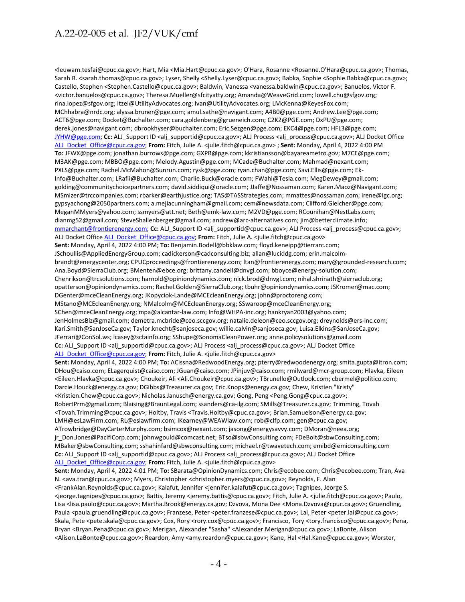<leuwam.tesfai@cpuc.ca.gov>; Hart, Mia <Mia.Hart@cpuc.ca.gov>; O'Hara, Rosanne <Rosanne.O'Hara@cpuc.ca.gov>; Thomas, Sarah R. <sarah.thomas@cpuc.ca.gov>; Lyser, Shelly <Shelly.Lyser@cpuc.ca.gov>; Babka, Sophie <Sophie.Babka@cpuc.ca.gov>; Castello, Stephen <Stephen.Castello@cpuc.ca.gov>; Baldwin, Vanessa <vanessa.baldwin@cpuc.ca.gov>; Banuelos, Victor F. <victor.banuelos@cpuc.ca.gov>; Theresa.Mueller@sfcityatty.org; Amanda@WeaveGrid.com; lowell.chu@sfgov.org; rina.lopez@sfgov.org; Itzel@UtilityAdvocates.org; Ivan@UtilityAdvocates.org; LMcKenna@KeyesFox.com; MChhabra@nrdc.org; alyssa.bruner@pge.com; amul.sathe@navigant.com; A4B0@pge.com; Andrew.Lee@pge.com; ACT6@pge.com; Docket@Buchalter.com; cara.goldenberg@grueneich.com; C2K2@PGE.com; DxPU@pge.com; derek.jones@navigant.com; dbrookhyser@buchalter.com; Eric.Sezgen@pge.com; EKC4@pge.com; HFL3@pge.com; [JYHW@pge.com;](mailto:JYHW@pge.com) **Cc:** ALJ\_Support ID <alj\_supportid@cpuc.ca.gov>; ALJ Process <alj\_process@cpuc.ca.gov>; ALJ Docket Office [ALJ\\_Docket\\_Office@cpuc.ca.gov;](mailto:ALJ_Docket_Office@cpuc.ca.gov) **From:** Fitch, Julie A. <julie.fitch@cpuc.ca.gov> ; **Sent:** Monday, April 4, 2022 4:00 PM **To:** JFWX@pge.com; jonathan.burrows@pge.com; GXPR@pge.com; kkristiansson@bayareametro.gov; M7CE@pge.com; M3AK@pge.com; MBBO@pge.com; Melody.Agustin@pge.com; MCade@Buchalter.com; Mahmad@nexant.com; PXLS@pge.com; Rachel.McMahon@Sunrun.com; rysk@pge.com; ryan.chan@pge.com; Savi.Ellis@pge.com; Ek-Info@Buchalter.com; LRafii@Buchalter.com; Charlie.Buck@oracle.com; FWahl@Tesla.com; MegDewey@gmail.com; golding@communitychoicepartners.com; david.siddiqui@oracle.com; JJaffe@Nossaman.com; Karen.Maoz@Navigant.com; MSmizer@trccompanies.com; rbarker@earthjustice.org; TAS@TASStrategies.com; mmattes@nossaman.com; irene@igc.org; gypsyachong@2050partners.com; a.mejiacunningham@gmail.com; cem@newsdata.com; Clifford.Gleicher@pge.com; MeganMMyers@yahoo.com; ssmyers@att.net; Beth@emk-law.com; M2VD@pge.com; RCounihan@NestLabs.com; dianmg52@gmail.com; SteveShallenberger@gmail.com; andrew@arc-alternatives.com; jim@betterclimate.info; [mmarchant@frontierenergy.com;](mailto:mmarchant@frontierenergy.com) **Cc:** ALJ\_Support ID <alj\_supportid@cpuc.ca.gov>; ALJ Process <alj\_process@cpuc.ca.gov>; ALJ Docket Offic[e ALJ\\_Docket\\_Office@cpuc.ca.gov;](mailto:ALJ_Docket_Office@cpuc.ca.gov) **From:** Fitch, Julie A. <julie.fitch@cpuc.ca.gov> **Sent:** Monday, April 4, 2022 4:00 PM; **To:** Benjamin.Bodell@bbklaw.com; floyd.keneipp@tierrarc.com; JSchoullis@AppliedEnergyGroup.com; cadickerson@cadconsulting.biz; allan@luciddg.com; erin.malcolmbrandt@energycenter.org; CPUCproceedings@frontierenergy.com; ltan@frontierenergy.com; mary@grounded-research.com; Ana.Boyd@SierraClub.org; BMenten@ebce.org; brittany.candell@dnvgl.com; bboyce@energy-solution.com; Chenrikson@trcsolutions.com; harnold@opiniondynamics.com; nick.brod@dnvgl.com; nihal.shrinath@sierraclub.org; opatterson@opiniondynamics.com; Rachel.Golden@SierraClub.org; tbuhr@opiniondynamics.com; JSKromer@mac.com; DGenter@mceCleanEnergy.org; JKopyciok-Lande@MCEcleanEnergy.org; john@proctoreng.com; MStano@MCEcleanEnergy.org; NMalcolm@MCEcleanEnergy.org; SSwaroop@mceCleanEnergy.org; SChen@mceCleanEnergy.org; mpa@alcantar-law.com; Info@WHPA-inc.org; hankryan2003@yahoo.com; JenHolmesBiz@gmail.com; demetra.mcbride@ceo.sccgov.org; natalie.deleon@ceo.sccgov.org; dreynolds@ers-inc.com; Kari.Smith@SanJoseCa.gov; Taylor.knecht@sanjoseca.gov; willie.calvin@sanjoseca.gov; Luisa.Elkins@SanJoseCa.gov; JFerrari@ConSol.ws; lcasey@sctainfo.org; SShupe@SonomaCleanPower.org; anne.policysolutions@gmail.com **Cc:** ALJ\_Support ID <alj\_supportid@cpuc.ca.gov>; ALJ Process <alj\_process@cpuc.ca.gov>; ALJ Docket Office [ALJ\\_Docket\\_Office@cpuc.ca.gov;](mailto:ALJ_Docket_Office@cpuc.ca.gov) From: Fitch, Julie A. <julie.fitch@cpuc.ca.gov> **Sent:** Monday, April 4, 2022 4:00 PM; **To:** ACissna@RedwoodEnergy.org; pterry@redwoodenergy.org; smita.gupta@itron.com; DHou@caiso.com; ELagerquist@caiso.com; JGuan@caiso.com; JPinjuv@caiso.com; rmilward@mcr-group.com; Hlavka, Eileen <Eileen.Hlavka@cpuc.ca.gov>; Choukeir, Ali <Ali.Choukeir@cpuc.ca.gov>; TBrunello@Outlook.com; cbermel@politico.com; Darcie.Houck@energy.ca.gov; DGibbs@Treasurer.ca.gov; Eric.Knops@energy.ca.gov; Chew, Kristien "Kristy" <Kristien.Chew@cpuc.ca.gov>; Nicholas.Janusch@energy.ca.gov; Gong, Peng <Peng.Gong@cpuc.ca.gov>; RobertPrm@gmail.com; Blaising@BraunLegal.com; ssanders@ca-ilg.com; SMills@Treasurer.ca.gov; Trimming, Tovah <Tovah.Trimming@cpuc.ca.gov>; Holtby, Travis <Travis.Holtby@cpuc.ca.gov>; Brian.Samuelson@energy.ca.gov; LMH@esLawFirm.com; RL@eslawfirm.com; IKearney@WEAWlaw.com; rob@clfp.com; gen@cpuc.ca.gov; ATrowbridge@DayCarterMurphy.com; bsimcox@nexant.com; jasong@energysavvy.com; DMoran@neea.org; jr\_Don.Jones@PacifiCorp.com; johnwgould@comcast.net; BTso@sbwConsulting.com; FDeBolt@sbwConsulting.com; MBaker@sbwConsulting.com; sshahinfard@sbwconsulting.com; michael.r@twavetech.com; emibd@emiconsulting.com Cc: ALJ\_Support ID <alj\_supportid@cpuc.ca.gov>; ALJ Process <alj\_process@cpuc.ca.gov>; ALJ Docket Office [ALJ\\_Docket\\_Office@cpuc.ca.gov;](mailto:ALJ_Docket_Office@cpuc.ca.gov) From: Fitch, Julie A. <julie.fitch@cpuc.ca.gov> **Sent:** Monday, April 4, 2022 4:01 PM; **To:** SBarata@OpinionDynamics.com; Chris@ecobee.com; Chris@ecobee.com; Tran, Ava N. <ava.tran@cpuc.ca.gov>; Myers, Christopher <christopher.myers@cpuc.ca.gov>; Reynolds, F. Alan <FrankAlan.Reynolds@cpuc.ca.gov>; Kalafut, Jennifer <jennifer.kalafut@cpuc.ca.gov>; Tagnipes, Jeorge S. <jeorge.tagnipes@cpuc.ca.gov>; Battis, Jeremy <jeremy.battis@cpuc.ca.gov>; Fitch, Julie A. <julie.fitch@cpuc.ca.gov>; Paulo, Lisa <lisa.paulo@cpuc.ca.gov>; Martha.Brook@energy.ca.gov; Dzvova, Mona Dee <Mona.Dzvova@cpuc.ca.gov>; Gruendling, Paula <paula.gruendling@cpuc.ca.gov>; Franzese, Peter <peter.franzese@cpuc.ca.gov>; Lai, Peter <peter.lai@cpuc.ca.gov>; Skala, Pete <pete.skala@cpuc.ca.gov>; Cox, Rory <rory.cox@cpuc.ca.gov>; Francisco, Tory <tory.francisco@cpuc.ca.gov>; Pena, Bryan <Bryan.Pena@cpuc.ca.gov>; Merigan, Alexander "Sasha" <Alexander.Merigan@cpuc.ca.gov>; LaBonte, Alison <Alison.LaBonte@cpuc.ca.gov>; Reardon, Amy <amy.reardon@cpuc.ca.gov>; Kane, Hal <Hal.Kane@cpuc.ca.gov>; Worster,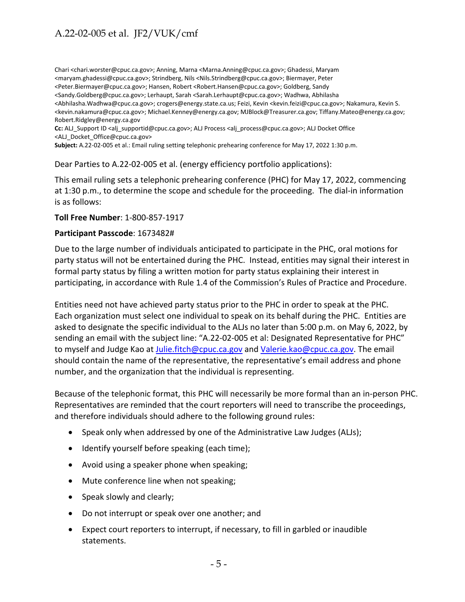Chari <chari.worster@cpuc.ca.gov>; Anning, Marna <Marna.Anning@cpuc.ca.gov>; Ghadessi, Maryam <maryam.ghadessi@cpuc.ca.gov>; Strindberg, Nils <Nils.Strindberg@cpuc.ca.gov>; Biermayer, Peter <Peter.Biermayer@cpuc.ca.gov>; Hansen, Robert <Robert.Hansen@cpuc.ca.gov>; Goldberg, Sandy <Sandy.Goldberg@cpuc.ca.gov>; Lerhaupt, Sarah <Sarah.Lerhaupt@cpuc.ca.gov>; Wadhwa, Abhilasha <Abhilasha.Wadhwa@cpuc.ca.gov>; crogers@energy.state.ca.us; Feizi, Kevin <kevin.feizi@cpuc.ca.gov>; Nakamura, Kevin S. <kevin.nakamura@cpuc.ca.gov>; Michael.Kenney@energy.ca.gov; MJBlock@Treasurer.ca.gov; Tiffany.Mateo@energy.ca.gov; Robert.Ridgley@energy.ca.gov

**Cc:** ALJ\_Support ID <alj\_supportid@cpuc.ca.gov>; ALJ Process <alj\_process@cpuc.ca.gov>; ALJ Docket Office <ALJ\_Docket\_Office@cpuc.ca.gov>

**Subject:** A.22-02-005 et al.: Email ruling setting telephonic prehearing conference for May 17, 2022 1:30 p.m.

Dear Parties to A.22-02-005 et al. (energy efficiency portfolio applications):

This email ruling sets a telephonic prehearing conference (PHC) for May 17, 2022, commencing at 1:30 p.m., to determine the scope and schedule for the proceeding. The dial-in information is as follows:

#### **Toll Free Number**: 1-800-857-1917

#### **Participant Passcode**: 1673482#

Due to the large number of individuals anticipated to participate in the PHC, oral motions for party status will not be entertained during the PHC. Instead, entities may signal their interest in formal party status by filing a written motion for party status explaining their interest in participating, in accordance with Rule 1.4 of the Commission's Rules of Practice and Procedure.

Entities need not have achieved party status prior to the PHC in order to speak at the PHC. Each organization must select one individual to speak on its behalf during the PHC. Entities are asked to designate the specific individual to the ALJs no later than 5:00 p.m. on May 6, 2022, by sending an email with the subject line: "A.22-02-005 et al: Designated Representative for PHC" to myself and Judge Kao at [Julie.fitch@cpuc.ca.gov](mailto:Julie.fitch@cpuc.ca.gov) and [Valerie.kao@cpuc.ca.gov.](mailto:Valerie.kao@cpuc.ca.gov) The email should contain the name of the representative, the representative's email address and phone number, and the organization that the individual is representing.

Because of the telephonic format, this PHC will necessarily be more formal than an in-person PHC. Representatives are reminded that the court reporters will need to transcribe the proceedings, and therefore individuals should adhere to the following ground rules:

- Speak only when addressed by one of the Administrative Law Judges (ALJs);
- Identify yourself before speaking (each time);
- Avoid using a speaker phone when speaking;
- Mute conference line when not speaking;
- Speak slowly and clearly;
- Do not interrupt or speak over one another; and
- Expect court reporters to interrupt, if necessary, to fill in garbled or inaudible statements.